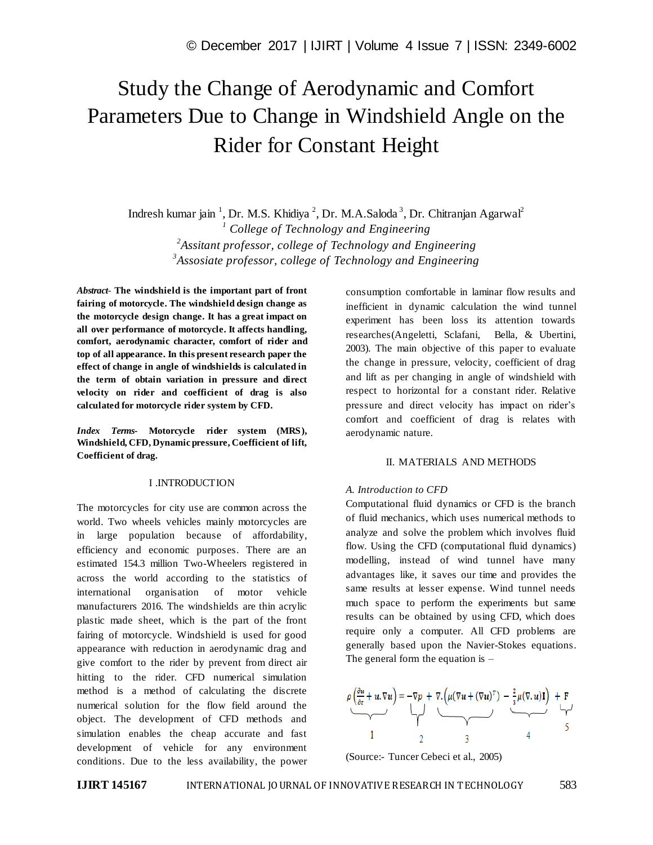# Study the Change of Aerodynamic and Comfort Parameters Due to Change in Windshield Angle on the Rider for Constant Height

Indresh kumar jain<sup>-1</sup>, Dr. M.S. Khidiya<sup>-2</sup>, Dr. M.A.Saloda<sup>-3</sup>, Dr. Chitranjan Agarwal<sup>2</sup> *College of Technology and Engineering Assitant professor, college of Technology and Engineering Assosiate professor, college of Technology and Engineering*

*Abstract*- **The windshield is the important part of front fairing of motorcycle. The windshield design change as the motorcycle design change. It has a great impact on all over performance of motorcycle. It affects handling, comfort, aerodynamic character, comfort of rider and top of all appearance. In this present research paper the effect of change in angle of windshields is calculated in the term of obtain variation in pressure and direct velocity on rider and coefficient of drag is also calculated for motorcycle rider system by CFD.**

*Index Terms***- Motorcycle rider system (MRS), Windshield, CFD, Dynamic pressure, Coefficient of lift, Coefficient of drag.**

## I .INTRODUCTION

The motorcycles for city use are common across the world. Two wheels vehicles mainly motorcycles are in large population because of affordability, efficiency and economic purposes. There are an estimated 154.3 million Two-Wheelers registered in across the world according to the statistics of international organisation of motor vehicle manufacturers 2016. The windshields are thin acrylic plastic made sheet, which is the part of the front fairing of motorcycle. Windshield is used for good appearance with reduction in aerodynamic drag and give comfort to the rider by prevent from direct air hitting to the rider. CFD numerical simulation method is a method of calculating the discrete numerical solution for the flow field around the object. The development of CFD methods and simulation enables the cheap accurate and fast development of vehicle for any environment conditions. Due to the less availability, the power consumption comfortable in laminar flow results and inefficient in dynamic calculation the wind tunnel experiment has been loss its attention towards researches(Angeletti, Sclafani, Bella, & Ubertini, 2003). The main objective of this paper to evaluate the change in pressure, velocity, coefficient of drag and lift as per changing in angle of windshield with respect to horizontal for a constant rider. Relative pressure and direct velocity has impact on rider's comfort and coefficient of drag is relates with aerodynamic nature.

### II. MATERIALS AND METHODS

#### *A. Introduction to CFD*

Computational fluid dynamics or CFD is the branch of fluid mechanics, which uses numerical methods to analyze and solve the problem which involves fluid flow. Using the CFD (computational fluid dynamics) modelling, instead of wind tunnel have many advantages like, it saves our time and provides the same results at lesser expense. Wind tunnel needs much space to perform the experiments but same results can be obtained by using CFD, which does require only a computer. All CFD problems are generally based upon the Navier-Stokes equations. The general form the equation is  $-$ 

$$
\rho\left(\frac{\partial u}{\partial t} + u \cdot \nabla u\right) = -\nabla p + \nabla \cdot \left(\mu(\nabla u + (\nabla u)^T) - \frac{2}{3}\mu(\nabla u)\mathbf{I}\right) + \mathbf{F}
$$
  
1

(Source:- Tuncer Cebeci et al., 2005)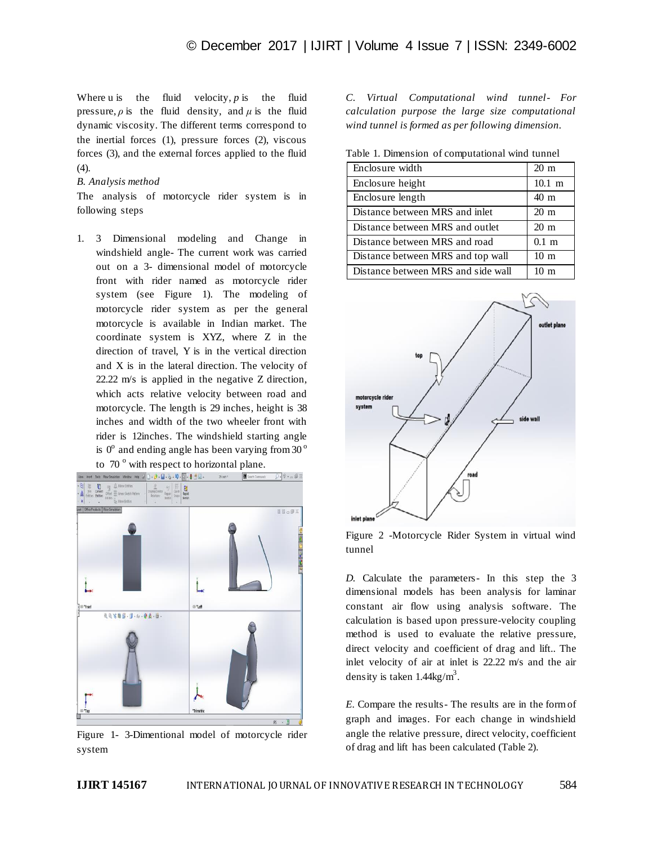Where u is the fluid velocity,  $p$  is the fluid pressure,  $\rho$  is the fluid density, and  $\mu$  is the fluid dynamic viscosity. The different terms correspond to the inertial forces (1), pressure forces (2), viscous forces (3), and the external forces applied to the fluid (4).

### *B. Analysis method*

The analysis of motorcycle rider system is in following steps

1. 3 Dimensional modeling and Change in windshield angle- The current work was carried out on a 3- dimensional model of motorcycle front with rider named as motorcycle rider system (see Figure 1). The modeling of motorcycle rider system as per the general motorcycle is available in Indian market. The coordinate system is XYZ, where Z in the direction of travel, Y is in the vertical direction and X is in the lateral direction. The velocity of 22.22 m/s is applied in the negative Z direction, which acts relative velocity between road and motorcycle. The length is 29 inches, height is 38 inches and width of the two wheeler front with rider is 12inches. The windshield starting angle is  $0^{\circ}$  and ending angle has been varying from 30 $^{\circ}$ to  $70^\circ$  with respect to horizontal plane.



Figure 1- 3-Dimentional model of motorcycle rider system

*C. Virtual Computational wind tunnel- For calculation purpose the large size computational wind tunnel is formed as per following dimension.*

Table 1. Dimension of computational wind tunnel

| Enclosure width                    | $20 \text{ m}$   |
|------------------------------------|------------------|
| Enclosure height                   | $10.1 \text{ m}$ |
| Enclosure length                   | $40 \text{ m}$   |
| Distance between MRS and inlet     | $20 \text{ m}$   |
| Distance between MRS and outlet    | $20 \text{ m}$   |
| Distance between MRS and road      | $0.1 \text{ m}$  |
| Distance between MRS and top wall  | 10 <sub>m</sub>  |
| Distance between MRS and side wall | 10 <sub>m</sub>  |



Figure 2 -Motorcycle Rider System in virtual wind tunnel

*D.* Calculate the parameters- In this step the 3 dimensional models has been analysis for laminar constant air flow using analysis software. The calculation is based upon pressure-velocity coupling method is used to evaluate the relative pressure, direct velocity and coefficient of drag and lift.. The inlet velocity of air at inlet is 22.22 m/s and the air density is taken  $1.44 \text{kg/m}^3$ .

*E.* Compare the results- The results are in the form of graph and images. For each change in windshield angle the relative pressure, direct velocity, coefficient of drag and lift has been calculated (Table 2).